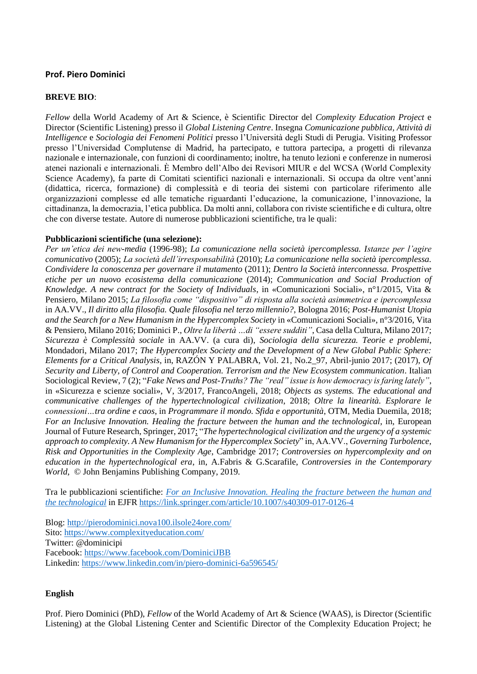## **Prof. Piero Dominici**

## **BREVE BIO**:

*Fellow* della World Academy of Art & Science, è Scientific Director del *Complexity Education Project* e Director (Scientific Listening) presso il *Global Listening Centre*. Insegna *Comunicazione pubblica, Attività di Intelligence* e *Sociologia dei Fenomeni Politici* presso l'Università degli Studi di Perugia. Visiting Professor presso l'Universidad Complutense di Madrid, ha partecipato, e tuttora partecipa, a progetti di rilevanza nazionale e internazionale, con funzioni di coordinamento; inoltre, ha tenuto lezioni e conferenze in numerosi atenei nazionali e internazionali. È Membro dell'Albo dei Revisori MIUR e del WCSA (World Complexity Science Academy), fa parte di Comitati scientifici nazionali e internazionali. Si occupa da oltre vent'anni (didattica, ricerca, formazione) di complessità e di teoria dei sistemi con particolare riferimento alle organizzazioni complesse ed alle tematiche riguardanti l'educazione, la comunicazione, l'innovazione, la cittadinanza, la democrazia, l'etica pubblica. Da molti anni, collabora con riviste scientifiche e di cultura, oltre che con diverse testate. Autore di numerose pubblicazioni scientifiche, tra le quali:

## **Pubblicazioni scientifiche (una selezione):**

*Per un'etica dei new-media* (1996-98); *La comunicazione nella società ipercomplessa. Istanze per l'agire comunicativo* (2005); *La società dell'irresponsabilità* (2010); *La comunicazione nella società ipercomplessa. Condividere la conoscenza per governare il mutamento* (2011); *Dentro la Società interconnessa. Prospettive etiche per un nuovo ecosistema della comunicazione* (2014); *Communication and Social Production of Knowledge. A new contract for the Society of Individuals*, in «Comunicazioni Sociali», n°1/2015, Vita & Pensiero, Milano 2015; *La filosofia come "dispositivo" di risposta alla società asimmetrica e ipercomplessa* in AA.VV., *Il diritto alla filosofia. Quale filosofia nel terzo millennio?*, Bologna 2016; *Post-Humanist Utopia and the Search for a New Humanism in the Hypercomplex Society* in «Comunicazioni Sociali», n°3/2016, Vita & Pensiero, Milano 2016; Dominici P., *Oltre la libertà …di "essere sudditi"*, Casa della Cultura, Milano 2017; *Sicurezza è Complessità sociale* in AA.VV. (a cura di), *Sociologia della sicurezza. Teorie e problemi*, Mondadori, Milano 2017; *The Hypercomplex Society and the Development of a New Global Public Sphere: Elements for a Critical Analysis*, in, RAZÓN Y PALABRA, Vol. 21, No.2\_97, Abril-junio 2017; (2017), *Of Security and Liberty, of Control and Cooperation. Terrorism and the New Ecosystem communication*. Italian Sociological Review, 7 (2); "*Fake News and Post-Truths? The "real" issue is how democracy is faring lately"*, in «Sicurezza e scienze sociali», V, 3/2017, FrancoAngeli, 2018; *Objects as systems. The educational and communicative challenges of the hypertechnological civilization*, 2018; *Oltre la linearità. Esplorare le connessioni…tra ordine e caos*, in *Programmare il mondo. Sfida e opportunità*, OTM, Media Duemila, 2018; *For an Inclusive Innovation. Healing the fracture between the human and the technological*, in, European Journal of Future Research, Springer, 2017; "*The hypertechnological civilization and the urgency of a systemic approach to complexity. A New Humanism for the Hypercomplex Society*" in, AA.VV., *Governing Turbolence, Risk and Opportunities in the Complexity Age*, Cambridge 2017; *Controversies on hypercomplexity and on education in the hypertechnological era*, in, A.Fabris & G.Scarafile, *Controversies in the Contemporary World*, © John Benjamins Publishing Company, 2019.

Tra le pubblicazioni scientifiche: *[For an Inclusive Innovation. Healing the fracture between the human and](https://link.springer.com/article/10.1007/s40309-017-0126-4)  [the technological](https://link.springer.com/article/10.1007/s40309-017-0126-4)* in EJFR<https://link.springer.com/article/10.1007/s40309-017-0126-4>

Blog:<http://pierodominici.nova100.ilsole24ore.com/> Sito:<https://www.complexityeducation.com/> Twitter: @dominicipi Facebook:<https://www.facebook.com/DominiciJBB> Linkedin: <https://www.linkedin.com/in/piero-dominici-6a596545/>

## **English**

Prof. Piero Dominici (PhD), *Fellow* of the World Academy of Art & Science (WAAS), is Director (Scientific Listening) at the Global Listening Center and Scientific Director of the Complexity Education Project; he